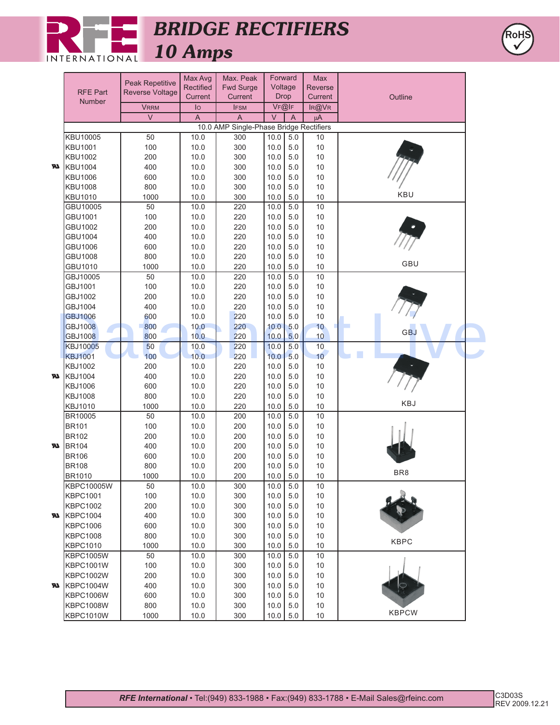

## *BRIDGE RECTIFIERS 10 Amps*



|   |                                      | Peak Repetitive | Max Avg                | Max. Peak                               | Forward         |            | Max<br>Reverse |                 |  |
|---|--------------------------------------|-----------------|------------------------|-----------------------------------------|-----------------|------------|----------------|-----------------|--|
|   | <b>RFE Part</b>                      | Reverse Voltage | Rectified<br>Current   | Fwd Surge<br>Current                    | Voltage<br>Drop |            | Current        | Outline         |  |
|   | Number                               | <b>VRRM</b>     | $I_{\circlearrowleft}$ | <b>IFSM</b>                             | VF@IF           |            | IR@VR          |                 |  |
|   |                                      | $\vee$          | A                      | A                                       | $\vee$          | A          | μA             |                 |  |
|   |                                      |                 |                        | 10.0 AMP Single-Phase Bridge Rectifiers |                 |            |                |                 |  |
|   | KBU10005                             | 50              | 10.0                   | 300                                     | 10.0            | 5.0        | 10             |                 |  |
|   | <b>KBU1001</b>                       | 100             | 10.0                   | 300                                     | 10.0            | 5.0        | 10             |                 |  |
|   | <b>KBU1002</b>                       | 200             | 10.0                   | 300                                     | 10.0            | 5.0        | 10             |                 |  |
|   | <b>N</b> KBU1004                     | 400             | 10.0                   | 300                                     | 10.0            | 5.0        | 10             |                 |  |
|   | <b>KBU1006</b>                       | 600             | 10.0                   | 300                                     | 10.0            | 5.0        | 10             |                 |  |
|   | <b>KBU1008</b>                       | 800             | 10.0                   | 300                                     | 10.0<br>10.0    | 5.0<br>5.0 | 10             | KBU             |  |
|   | <b>KBU1010</b><br>GBU10005           | 1000<br>50      | 10.0<br>10.0           | 300<br>220                              | 10.0            | 5.0        | 10<br>10       |                 |  |
|   | GBU1001                              | 100             | 10.0                   | 220                                     | 10.0            | 5.0        | 10             |                 |  |
|   | GBU1002                              | 200             | 10.0                   | 220                                     | 10.0            | 5.0        | 10             |                 |  |
|   | GBU1004                              | 400             | 10.0                   | 220                                     | 10.0            | 5.0        | 10             |                 |  |
|   | GBU1006                              | 600             | 10.0                   | 220                                     | 10.0            | 5.0        | 10             |                 |  |
|   | GBU1008                              | 800             | 10.0                   | 220                                     | 10.0            | 5.0        | 10             |                 |  |
|   | GBU1010                              | 1000            | 10.0                   | 220                                     | 10.0            | 5.0        | 10             | GBU             |  |
|   | GBJ10005                             | 50              | 10.0                   | 220                                     | 10.0            | 5.0        | 10             |                 |  |
|   | GBJ1001                              | 100             | 10.0                   | 220                                     | 10.0            | 5.0        | 10             |                 |  |
|   | GBJ1002                              | 200             | 10.0                   | 220                                     | 10.0            | 5.0        | 10             |                 |  |
|   | GBJ1004                              | 400             | 10.0                   | 220                                     | 10.0            | 5.0        | 10             |                 |  |
|   | <b>GBJ1006</b>                       | 600             | 10.0                   | 220                                     | 10.0            | 5.0        | 10             |                 |  |
|   | <b>GBJ1008</b>                       | 800             | 10.0                   | 220                                     | 10.0            | 5.0        | 10             | <b>GBJ</b>      |  |
|   | <b>GBJ1008</b><br><b>KBJ10005</b>    | 800<br>50       | 10.0<br>10.0           | 220<br>220                              | 10.0<br>10.0    | 5.0<br>5.0 | 10<br>10       |                 |  |
|   | <b>KBJ1001</b>                       | 100             | 10.0                   | 220                                     | 10.0            | 5.0        | 10             |                 |  |
|   | <b>KBJ1002</b>                       | 200             | 10.0                   | 220                                     | 10.0            | 5.0        | 10             |                 |  |
|   | <b>N</b> KBJ1004                     | 400             | 10.0                   | 220                                     | 10.0            | 5.0        | 10             |                 |  |
|   | <b>KBJ1006</b>                       | 600             | 10.0                   | 220                                     | 10.0            | 5.0        | 10             |                 |  |
|   | <b>KBJ1008</b>                       | 800             | 10.0                   | 220                                     | 10.0            | 5.0        | 10             |                 |  |
|   | KBJ1010                              | 1000            | 10.0                   | 220                                     | 10.0            | 5.0        | 10             | KBJ             |  |
|   | <b>BR10005</b>                       | 50              | 10.0                   | 200                                     | 10.0            | 5.0        | 10             |                 |  |
|   | <b>BR101</b>                         | 100             | 10.0                   | 200                                     | 10.0            | 5.0        | 10             |                 |  |
|   | <b>BR102</b>                         | 200             | 10.0                   | 200                                     | 10.0            | 5.0        | 10             |                 |  |
| m | <b>BR104</b>                         | 400             | 10.0                   | 200                                     | 10.0            | 5.0        | 10             |                 |  |
|   | <b>BR106</b>                         | 600             | 10.0                   | 200                                     | 10.0            | 5.0        | 10             |                 |  |
|   | <b>BR108</b>                         | 800             | 10.0                   | 200                                     | 10.0            | 5.0        | 10             | BR <sub>8</sub> |  |
|   | <b>BR1010</b>                        | 1000            | 10.0                   | 200                                     | 10.0            | $5.0$      | 10             |                 |  |
|   | <b>KBPC10005W</b><br><b>KBPC1001</b> | 50<br>100       | 10.0<br>10.0           | 300<br>300                              | 10.0<br>10.0    | 5.0<br>5.0 | 10<br>10       |                 |  |
|   | <b>KBPC1002</b>                      | 200             | 10.0                   | 300                                     | 10.0            | 5.0        | 10             |                 |  |
|   | <b>N</b> KBPC1004                    | 400             | 10.0                   | 300                                     | 10.0            | 5.0        | 10             |                 |  |
|   | <b>KBPC1006</b>                      | 600             | 10.0                   | 300                                     | 10.0            | 5.0        | 10             |                 |  |
|   | <b>KBPC1008</b>                      | 800             | 10.0                   | 300                                     | 10.0            | 5.0        | 10             |                 |  |
|   | <b>KBPC1010</b>                      | 1000            | 10.0                   | 300                                     | 10.0            | $5.0$      | 10             | KBPC            |  |
|   | <b>KBPC1005W</b>                     | 50              | 10.0                   | 300                                     | 10.0            | 5.0        | 10             |                 |  |
|   | <b>KBPC1001W</b>                     | 100             | 10.0                   | 300                                     | 10.0            | 5.0        | 10             |                 |  |
|   | KBPC1002W                            | 200             | 10.0                   | 300                                     | 10.0            | 5.0        | 10             |                 |  |
|   | <b>N</b> KBPC1004W                   | 400             | 10.0                   | 300                                     | 10.0            | 5.0        | 10             |                 |  |
|   | <b>KBPC1006W</b>                     | 600             | 10.0                   | 300                                     | 10.0            | 5.0        | 10             |                 |  |
|   | <b>KBPC1008W</b><br><b>KBPC1010W</b> | 800<br>1000     | 10.0<br>10.0           | 300<br>300                              | 10.0<br>10.0    | 5.0<br>5.0 | 10<br>10       | <b>KBPCW</b>    |  |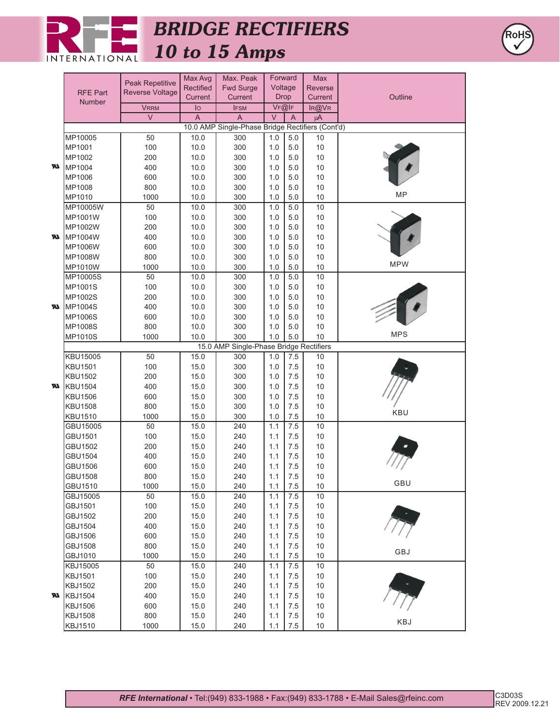

# *BRIDGE RECTIFIERS 10 to 15 Amps*



|   |                 | Peak Repetitive | Max Avg                | Max. Peak                                        | Forward |                | Max     |            |
|---|-----------------|-----------------|------------------------|--------------------------------------------------|---------|----------------|---------|------------|
|   | <b>RFE Part</b> | Reverse Voltage | <b>Rectified</b>       | Fwd Surge                                        | Voltage |                | Reverse |            |
|   | Number          |                 | Current                | Current                                          | Drop    |                | Current | Outline    |
|   |                 | <b>VRRM</b>     | $I_{\circlearrowleft}$ | <b>IFSM</b>                                      | VF@IF   |                | IR@VR   |            |
|   |                 | $\vee$          | A                      | A                                                | $\vee$  | $\overline{A}$ | μA      |            |
|   |                 |                 |                        | 10.0 AMP Single-Phase Bridge Rectifiers (Cont'd) |         |                |         |            |
|   | MP10005         | 50              | 10.0                   | 300                                              | 1.0     | 5.0            | $10$    |            |
|   | MP1001          | 100             | 10.0                   | 300                                              | 1.0     | 5.0            | 10      |            |
| w | MP1002          | 200             | 10.0                   | 300                                              | 1.0     | 5.0            | 10      |            |
|   | MP1004          | 400             | 10.0                   | 300                                              | 1.0     | 5.0            | 10      |            |
|   | MP1006          | 600             | 10.0                   | 300                                              | 1.0     | 5.0            | 10      |            |
|   | MP1008          | 800             | 10.0                   | 300                                              | 1.0     | 5.0            | 10      | <b>MP</b>  |
|   | MP1010          | 1000            | 10.0                   | 300                                              | 1.0     | 5.0            | 10      |            |
|   | MP10005W        | 50              | 10.0                   | 300                                              | 1.0     | 5.0            | 10      |            |
|   | MP1001W         | 100             | 10.0                   | 300                                              | 1.0     | 5.0            | 10      |            |
|   | MP1002W         | 200             | 10.0                   | 300                                              | 1.0     | 5.0            | 10      |            |
| М | MP1004W         | 400             | 10.0                   | 300                                              | 1.0     | 5.0            | 10      |            |
|   | MP1006W         | 600             | 10.0                   | 300                                              | 1.0     | 5.0            | 10      |            |
|   | MP1008W         | 800             | 10.0                   | 300                                              | 1.0     | 5.0            | 10      | <b>MPW</b> |
|   | MP1010W         | 1000            | 10.0                   | 300                                              | 1.0     | 5.0            | 10      |            |
|   | MP10005S        | 50              | 10.0                   | 300                                              | 1.0     | 5.0            | 10      |            |
|   | MP1001S         | 100             | 10.0                   | 300                                              | 1.0     | 5.0            | 10      |            |
|   | MP1002S         | 200             | 10.0                   | 300                                              | 1.0     | 5.0            | 10      |            |
| w | <b>MP1004S</b>  | 400             | 10.0                   | 300                                              | 1.0     | 5.0            | 10      |            |
|   | MP1006S         | 600             | 10.0                   | 300                                              | 1.0     | 5.0            | 10      |            |
|   | MP1008S         | 800             | 10.0                   | 300                                              | 1.0     | 5.0            | 10      | <b>MPS</b> |
|   | MP1010S         | 1000            | 10.0                   | 300                                              | 1.0     | 5.0            | 10      |            |
|   |                 |                 | 15.0 AMP               | Single-Phase Bridge Rectifiers                   |         |                |         |            |
|   | KBU15005        | 50              | 15.0                   | 300                                              | 1.0     | 7.5            | 10      |            |
|   | <b>KBU1501</b>  | 100             | 15.0                   | 300                                              | 1.0     | 7.5            | 10      |            |
|   | <b>KBU1502</b>  | 200             | 15.0                   | 300                                              | 1.0     | 7.5            | 10      |            |
| m | <b>KBU1504</b>  | 400             | 15.0                   | 300                                              | 1.0     | 7.5            | 10      |            |
|   | <b>KBU1506</b>  | 600             | 15.0                   | 300                                              | 1.0     | 7.5            | 10      |            |
|   | <b>KBU1508</b>  | 800             | 15.0                   | 300                                              | 1.0     | 7.5            | 10      | KBU        |
|   | <b>KBU1510</b>  | 1000            | 15.0                   | 300                                              | 1.0     | 7.5            | 10      |            |
|   | GBU15005        | 50              | 15.0                   | 240                                              | 1.1     | 7.5            | 10      |            |
|   | <b>GBU1501</b>  | 100             | 15.0                   | 240                                              | 1.1     | 7.5            | 10      |            |
|   | GBU1502         | 200             | 15.0                   | 240                                              | 1.1     | 7.5            | 10      |            |
|   | GBU1504         | 400             | 15.0                   | 240                                              | 1.1     | 7.5            | 10      |            |
|   | GBU1506         | 600             | 15.0                   | 240                                              | 1.1     | 7.5            | 10      |            |
|   | <b>GBU1508</b>  | 800             | 15.0                   | 240                                              | 1.1     | 7.5            | 10      |            |
|   | GBU1510         | 1000            | 15.0                   | 240                                              | 1.1     | 7.5            | 10      | GBU        |
|   | GBJ15005        | 50              | 15.0                   | 240                                              | 1.1     | 7.5            | 10      |            |
|   | GBJ1501         | 100             | 15.0                   | 240                                              | 1.1     | 7.5            | 10      |            |
|   | GBJ1502         | 200             | 15.0                   | 240                                              | 1.1     | 7.5            | 10      |            |
|   | GBJ1504         | 400             | 15.0                   | 240                                              | 1.1     | 7.5            | 10      |            |
|   | GBJ1506         | 600             | 15.0                   | 240                                              | 1.1     | 7.5            | 10      |            |
|   | GBJ1508         | 800             | 15.0                   | 240                                              | 1.1     | $7.5\,$        | 10      | GBJ        |
|   | GBJ1010         | 1000            | 15.0                   | 240                                              | 1.1     | $7.5\,$        | 10      |            |
|   | KBJ15005        | 50              | 15.0                   | 240                                              | 1.1     | $7.5\,$        | 10      |            |
|   | <b>KBJ1501</b>  | 100             | 15.0                   | 240                                              | 1.1     | 7.5            | 10      |            |
|   | <b>KBJ1502</b>  | 200             | 15.0                   | 240                                              | 1.1     | $7.5\,$        | 10      |            |
| w | <b>KBJ1504</b>  | 400             | 15.0                   | 240                                              | 1.1     | 7.5            | 10      |            |
|   | <b>KBJ1506</b>  | 600             | 15.0                   | 240                                              | 1.1     | 7.5            | 10      |            |
|   | <b>KBJ1508</b>  | 800             | 15.0                   | 240                                              | 1.1     | 7.5            | 10      | KBJ        |
|   | KBJ1510         | 1000            | 15.0                   | 240                                              | 1.1     | $7.5\,$        | 10      |            |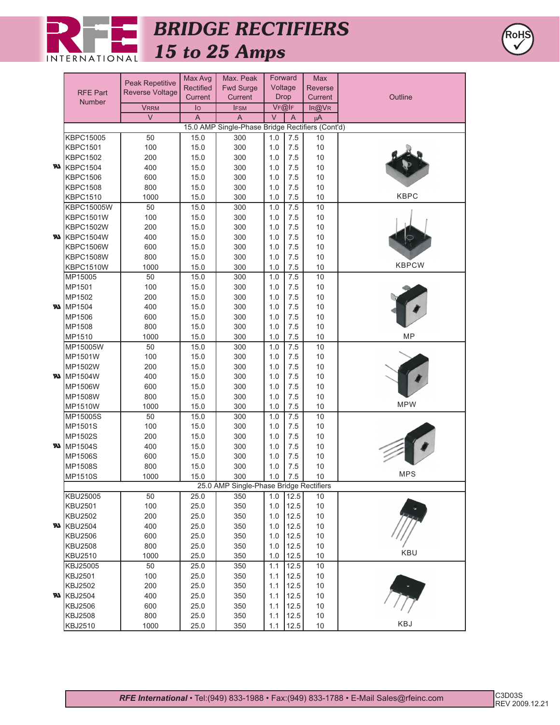

# *BRIDGE RECTIFIERS 15 to 25 Amps*



|   |                                         | Peak Repetitive | Max Avg                                                    | Max. Peak   | Forward    |            | Max        |              |  |  |  |  |
|---|-----------------------------------------|-----------------|------------------------------------------------------------|-------------|------------|------------|------------|--------------|--|--|--|--|
|   | <b>RFE Part</b>                         | Reverse Voltage | Rectified                                                  | Fwd Surge   | Voltage    |            | Reverse    |              |  |  |  |  |
|   | Number                                  |                 | Current                                                    | Current     | Drop       |            | Current    | Outline      |  |  |  |  |
|   |                                         | <b>VRRM</b>     | lo                                                         | <b>IFSM</b> | VF@IF      |            | IR@VR      |              |  |  |  |  |
|   |                                         | $\vee$          | A<br>A<br>15.0 AMP Single-Phase Bridge Rectifiers (Cont'd) |             | $\vee$     | A          | μA         |              |  |  |  |  |
|   |                                         |                 |                                                            |             |            |            |            |              |  |  |  |  |
|   | KBPC15005                               | 50              | 15.0                                                       | 300         | 1.0        | 7.5        | 10         |              |  |  |  |  |
|   | <b>KBPC1501</b>                         | 100             | 15.0                                                       | 300         | 1.0        | 7.5        | 10         |              |  |  |  |  |
|   | <b>KBPC1502</b>                         | 200             | 15.0                                                       | 300         | 1.0        | 7.5        | 10         |              |  |  |  |  |
| m | <b>KBPC1504</b>                         | 400             | 15.0                                                       | 300         | 1.0        | 7.5        | 10         |              |  |  |  |  |
|   | <b>KBPC1506</b>                         | 600             | 15.0                                                       | 300         | 1.0        | 7.5        | 10         |              |  |  |  |  |
|   | <b>KBPC1508</b>                         | 800             | 15.0                                                       | 300         | 1.0        | 7.5        | 10         | <b>KBPC</b>  |  |  |  |  |
|   | <b>KBPC1510</b>                         | 1000            | 15.0                                                       | 300         | 1.0        | 7.5        | $10$       |              |  |  |  |  |
|   | <b>KBPC15005W</b>                       | 50              | 15.0                                                       | 300         | 1.0        | 7.5        | 10         |              |  |  |  |  |
|   | <b>KBPC1501W</b>                        | 100             | 15.0                                                       | 300         | 1.0        | 7.5        | 10         |              |  |  |  |  |
|   | <b>KBPC1502W</b>                        | 200             | 15.0                                                       | 300         | 1.0        | 7.5        | 10         |              |  |  |  |  |
|   | <b>W</b> KBPC1504W                      | 400             | 15.0                                                       | 300         | 1.0        | 7.5        | 10         |              |  |  |  |  |
|   | <b>KBPC1506W</b>                        | 600             | 15.0                                                       | 300         | 1.0        | 7.5        | 10         |              |  |  |  |  |
|   | <b>KBPC1508W</b>                        | 800             | 15.0                                                       | 300         | 1.0        | 7.5        | 10         | <b>KBPCW</b> |  |  |  |  |
|   | <b>KBPC1510W</b>                        | 1000            | 15.0                                                       | 300         | 1.0        | $7.5$      | 10         |              |  |  |  |  |
|   | MP15005<br>MP1501                       | 50<br>100       | 15.0<br>15.0                                               | 300<br>300  | 1.0        | 7.5<br>7.5 | $10$<br>10 |              |  |  |  |  |
|   | MP1502                                  | 200             |                                                            |             | 1.0        | 7.5        | 10         |              |  |  |  |  |
|   | <b>ND</b> MP1504                        | 400             | 15.0<br>15.0                                               | 300<br>300  | 1.0<br>1.0 | 7.5        | 10         |              |  |  |  |  |
|   | MP1506                                  | 600             | 15.0                                                       | 300         | 1.0        | 7.5        | 10         |              |  |  |  |  |
|   | MP1508                                  | 800             | 15.0                                                       | 300         | 1.0        | 7.5        | 10         |              |  |  |  |  |
|   | MP1510                                  | 1000            | 15.0                                                       | 300         | 1.0        | 7.5        | 10         | ΜP           |  |  |  |  |
|   | MP15005W                                | 50              | 15.0                                                       | 300         | 1.0        | 7.5        | 10         |              |  |  |  |  |
|   | MP1501W                                 | 100             | 15.0                                                       | 300         | 1.0        | 7.5        | 10         |              |  |  |  |  |
|   | MP1502W                                 | 200             | 15.0                                                       | 300         | 1.0        | 7.5        | 10         |              |  |  |  |  |
|   | <b>W</b> MP1504W                        | 400             | 15.0                                                       | 300         | 1.0        | 7.5        | 10         |              |  |  |  |  |
|   | MP1506W                                 | 600             | 15.0                                                       | 300         | 1.0        | 7.5        | 10         |              |  |  |  |  |
|   | MP1508W                                 | 800             | 15.0                                                       | 300         | 1.0        | 7.5        | 10         |              |  |  |  |  |
|   | MP1510W                                 | 1000            | 15.0                                                       | 300         | 1.0        | 7.5        | 10         | <b>MPW</b>   |  |  |  |  |
|   | MP15005S                                | 50              | 15.0                                                       | 300         | 1.0        | 7.5        | 10         |              |  |  |  |  |
|   | MP1501S                                 | 100             | 15.0                                                       | 300         | 1.0        | 7.5        | 10         |              |  |  |  |  |
|   | MP1502S                                 | 200             | 15.0                                                       | 300         | 1.0        | 7.5        | 10         |              |  |  |  |  |
|   | <b>N</b> MP1504S                        | 400             | 15.0                                                       | 300         | 1.0        | 7.5        | 10         |              |  |  |  |  |
|   | MP1506S                                 | 600             | 15.0                                                       | 300         | 1.0        | 7.5        | $10$       |              |  |  |  |  |
|   | MP1508S                                 | 800             | 15.0                                                       | 300         | 1.0        | 7.5        | 10         |              |  |  |  |  |
|   | MP1510S                                 | 1000            | 15.0                                                       | 300         | 1.0        | 7.5        | 10         | <b>MPS</b>   |  |  |  |  |
|   | 25.0 AMP Single-Phase Bridge Rectifiers |                 |                                                            |             |            |            |            |              |  |  |  |  |
|   | KBU25005                                | 50              | 25.0                                                       | 350         | 1.0        | 12.5       | 10         |              |  |  |  |  |
|   | <b>KBU2501</b>                          | 100             | 25.0                                                       | 350         | 1.0        | 12.5       | 10         |              |  |  |  |  |
|   | <b>KBU2502</b>                          | 200             | 25.0                                                       | 350         | 1.0        | 12.5       | 10         |              |  |  |  |  |
|   | $N$ KBU2504                             | 400             | 25.0                                                       | 350         | 1.0        | 12.5       | 10         |              |  |  |  |  |
|   | <b>KBU2506</b>                          | 600             | 25.0                                                       | 350         | 1.0        | 12.5       | 10         |              |  |  |  |  |
|   | <b>KBU2508</b>                          | 800             | 25.0                                                       | 350         | 1.0        | 12.5       | 10         |              |  |  |  |  |
|   | <b>KBU2510</b>                          | 1000            | 25.0                                                       | 350         | 1.0        | 12.5       | 10         | KBU          |  |  |  |  |
|   | KBJ25005                                | 50              | 25.0                                                       | 350         | 1.1        | 12.5       | $10$       |              |  |  |  |  |
|   | <b>KBJ2501</b>                          | 100             | 25.0                                                       | 350         | 1.1        | 12.5       | 10         |              |  |  |  |  |
|   | <b>KBJ2502</b>                          | 200             | 25.0                                                       | 350         | 1.1        | 12.5       | 10         |              |  |  |  |  |
|   | $N$ KBJ2504                             | 400             | 25.0                                                       | 350         | 1.1        | 12.5       | 10         |              |  |  |  |  |
|   | <b>KBJ2506</b>                          | 600             | 25.0                                                       | 350         | 1.1        | 12.5       | 10         |              |  |  |  |  |
|   | <b>KBJ2508</b>                          | 800             | 25.0                                                       | 350         | 1.1        | 12.5       | 10         | <b>KBJ</b>   |  |  |  |  |
|   | KBJ2510                                 | 1000            | 25.0                                                       | 350         | 1.1        | 12.5       | 10         |              |  |  |  |  |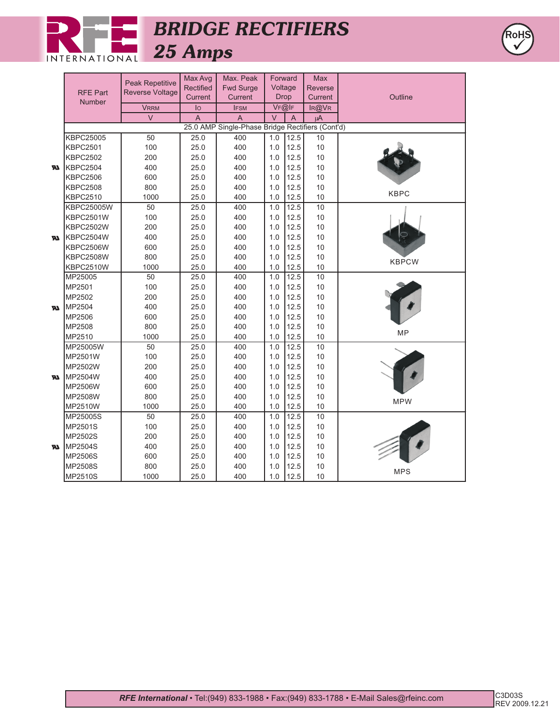

### *BRIDGE RECTIFIERS 25 Amps*



|   |                                                  | Peak Repetitive | Max Avg        | Max. Peak      | Forward<br>Voltage |                | Max     | Outline      |  |  |  |  |
|---|--------------------------------------------------|-----------------|----------------|----------------|--------------------|----------------|---------|--------------|--|--|--|--|
|   | <b>RFE Part</b>                                  | Reverse Voltage | Rectified      | Fwd Surge      |                    |                | Reverse |              |  |  |  |  |
|   | Number                                           |                 | Current        | Current        | Drop               |                | Current |              |  |  |  |  |
|   |                                                  | <b>VRRM</b>     | $I_{\text{O}}$ | <b>IFSM</b>    | VF@IF              |                | IR@VR   |              |  |  |  |  |
|   |                                                  | $\vee$          | $\overline{A}$ | $\overline{A}$ | $\vee$             | $\overline{A}$ | μA      |              |  |  |  |  |
|   | 25.0 AMP Single-Phase Bridge Rectifiers (Cont'd) |                 |                |                |                    |                |         |              |  |  |  |  |
|   | <b>KBPC25005</b>                                 | 50              | 25.0           | 400            | 1.0                | 12.5           | 10      |              |  |  |  |  |
|   | <b>KBPC2501</b>                                  | 100             | 25.0           | 400            | 1.0                | 12.5           | 10      |              |  |  |  |  |
| w | <b>KBPC2502</b>                                  | 200             | 25.0           | 400            | 1.0                | 12.5           | 10      |              |  |  |  |  |
|   | <b>KBPC2504</b>                                  | 400             | 25.0           | 400            | 1.0                | 12.5           | 10      |              |  |  |  |  |
|   | <b>KBPC2506</b>                                  | 600             | 25.0           | 400            | 1.0                | 12.5           | 10      |              |  |  |  |  |
|   | <b>KBPC2508</b>                                  | 800             | 25.0           | 400            | 1.0                | 12.5           | 10      | <b>KBPC</b>  |  |  |  |  |
|   | <b>KBPC2510</b>                                  | 1000            | 25.0           | 400            | 1.0                | 12.5           | 10      |              |  |  |  |  |
|   | <b>KBPC25005W</b>                                | 50              | 25.0           | 400            | 1.0                | 12.5           | 10      |              |  |  |  |  |
|   | <b>KBPC2501W</b>                                 | 100             | 25.0           | 400            | 1.0                | 12.5           | 10      |              |  |  |  |  |
|   | <b>KBPC2502W</b>                                 | 200             | 25.0           | 400            | 1.0                | 12.5           | 10      |              |  |  |  |  |
| w | <b>KBPC2504W</b>                                 | 400             | 25.0           | 400            | 1.0                | 12.5           | 10      |              |  |  |  |  |
|   | <b>KBPC2506W</b>                                 | 600             | 25.0           | 400            | 1.0                | 12.5           | 10      |              |  |  |  |  |
|   | <b>KBPC2508W</b>                                 | 800             | 25.0           | 400            | 1.0                | 12.5           | 10      | <b>KBPCW</b> |  |  |  |  |
|   | KBPC2510W                                        | 1000            | 25.0           | 400            | 1.0                | 12.5           | 10      |              |  |  |  |  |
|   | MP25005                                          | 50              | 25.0           | 400            | 1.0                | 12.5           | 10      |              |  |  |  |  |
|   | MP2501                                           | 100             | 25.0           | 400            | 1.0                | 12.5           | 10      |              |  |  |  |  |
| m | MP2502                                           | 200             | 25.0           | 400            | 1.0                | 12.5           | 10      |              |  |  |  |  |
|   | MP2504                                           | 400             | 25.0           | 400            | 1.0                | 12.5           | 10      |              |  |  |  |  |
|   | MP2506                                           | 600             | 25.0           | 400            | 1.0                | 12.5           | 10      |              |  |  |  |  |
|   | MP2508                                           | 800             | 25.0           | 400            | 1.0                | 12.5           | 10      | <b>MP</b>    |  |  |  |  |
|   | MP2510                                           | 1000            | 25.0           | 400            | 1.0                | 12.5           | 10      |              |  |  |  |  |
|   | MP25005W                                         | 50              | 25.0           | 400            | 1.0                | 12.5           | 10      |              |  |  |  |  |
|   | MP2501W                                          | 100             | 25.0           | 400            | 1.0                | 12.5           | 10      |              |  |  |  |  |
|   | MP2502W                                          | 200             | 25.0           | 400            | 1.0                | 12.5           | 10      |              |  |  |  |  |
| m | MP2504W                                          | 400             | 25.0           | 400            | 1.0                | 12.5           | 10      |              |  |  |  |  |
|   | MP2506W                                          | 600             | 25.0           | 400            | 1.0                | 12.5           | 10      |              |  |  |  |  |
|   | MP2508W                                          | 800             | 25.0           | 400            | 1.0                | 12.5           | 10      | <b>MPW</b>   |  |  |  |  |
|   | MP2510W                                          | 1000            | 25.0           | 400            | 1.0                | 12.5           | 10      |              |  |  |  |  |
|   | MP25005S                                         | 50              | 25.0           | 400            | 1.0                | 12.5           | 10      |              |  |  |  |  |
|   | MP2501S                                          | 100             | 25.0           | 400            | 1.0                | 12.5           | 10      |              |  |  |  |  |
|   | MP2502S                                          | 200             | 25.0           | 400            | 1.0                | 12.5           | 10      |              |  |  |  |  |
| w | MP2504S                                          | 400             | 25.0           | 400            | 1.0                | 12.5           | 10      |              |  |  |  |  |
|   | MP2506S                                          | 600             | 25.0           | 400            | 1.0                | 12.5           | 10      |              |  |  |  |  |
|   | MP2508S                                          | 800             | 25.0           | 400            | 1.0                | 12.5           | 10      | <b>MPS</b>   |  |  |  |  |
|   | MP2510S                                          | 1000            | 25.0           | 400            | 1.0                | 12.5           | 10      |              |  |  |  |  |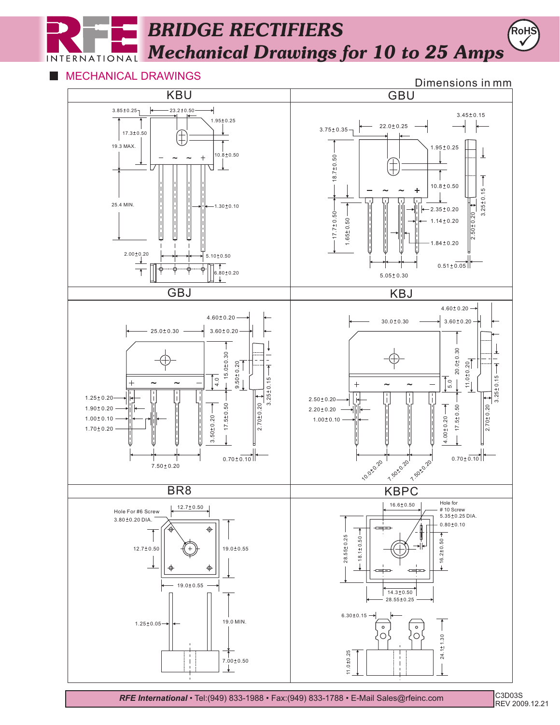### *BRIDGE RECTIFIERS* RoHS ü *Mechanical Drawings for 10 to 25 Amps* INTERNATIONAL

#### MECHANICAL DRAWINGS **Example 20 and 20 and 20 and 20 and 20 and 20 and 20 and 20 and 20 and 20 and 20 and 20 and 20 and 20 and 20 and 20 and 20 and 20 and 20 and 20 and 20 and 20 and 20 and 20 and 20 and 20 and 20 and 20 a In the State**





*RFE International* • Tel:(949) 833-1988 • Fax:(949) 833-1788 • E-Mail Sales@rfeinc.com